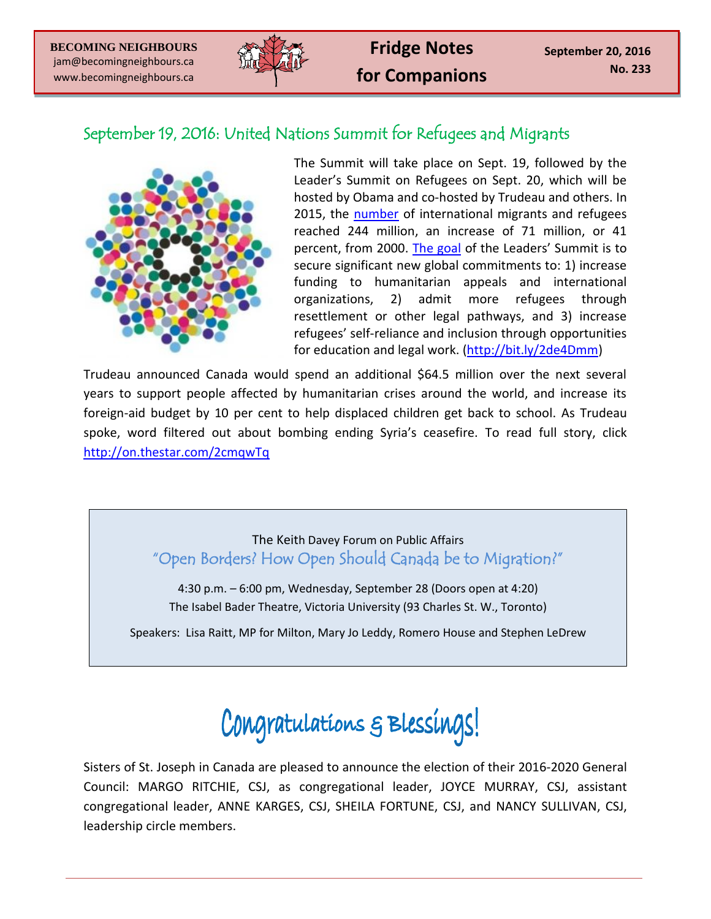

## September 19, 2016: United Nations Summit for Refugees and Migrants



The Summit will take place on Sept. 19, followed by the Leader's Summit on Refugees on Sept. 20, which will be hosted by Obama and co-hosted by Trudeau and others. In 2015, the [number](http://www.un.org/sustainabledevelopment/blog/2016/01/244-million-international-migrants-living-abroad-worldwide-new-un-statistics-reveal/) of international migrants and refugees reached 244 million, an increase of 71 million, or 41 percent, from 2000. [The goal](http://www.state.gov/p/io/c71574.htm) of the Leaders' Summit is to secure significant new global commitments to: 1) increase funding to humanitarian appeals and international organizations, 2) admit more refugees through resettlement or other legal pathways, and 3) increase refugees' self-reliance and inclusion through opportunities for education and legal work. [\(http://bit.ly/2de4Dmm\)](http://bit.ly/2de4Dmm)

Trudeau announced Canada would spend an additional \$64.5 million over the next several years to support people affected by humanitarian crises around the world, and increase its foreign-aid budget by 10 per cent to help displaced children get back to school. As Trudeau spoke, word filtered out about bombing ending Syria's ceasefire. To read full story, click <http://on.thestar.com/2cmqwTq>

## The Keith Davey Forum on Public Affairs "Open Borders? How Open Should Canada be to Migration?"

4:30 p.m. – 6:00 pm, Wednesday, September 28 (Doors open at 4:20) The Isabel Bader Theatre, Victoria University (93 Charles St. W., Toronto)

Speakers: Lisa Raitt, MP for Milton, Mary Jo Leddy, Romero House and Stephen LeDrew

## Congratulations & Blessings!

Sisters of St. Joseph in Canada are pleased to announce the election of their 2016-2020 General Council: MARGO RITCHIE, CSJ, as congregational leader, JOYCE MURRAY, CSJ, assistant congregational leader, ANNE KARGES, CSJ, SHEILA FORTUNE, CSJ, and NANCY SULLIVAN, CSJ, leadership circle members.